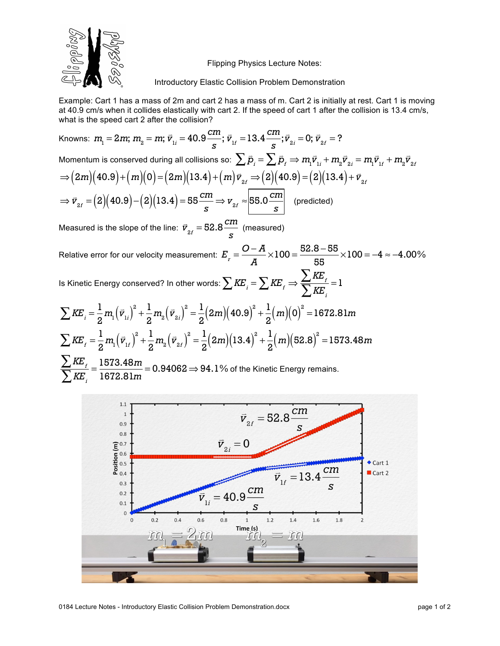

Flipping Physics Lecture Notes:

Introductory Elastic Collision Problem Demonstration

Example: Cart 1 has a mass of 2m and cart 2 has a mass of m. Cart 2 is initially at rest. Cart 1 is moving at 40.9 cm/s when it collides elastically with cart 2. If the speed of cart 1 after the collision is 13.4 cm/s, what is the speed cart 2 after the collision?

Knowns:  $m_{\text{i}} = 2m$ ;  $m_{\text{2}} = m$ ;  $\vec{v}_{\text{i}i} = 40.9 \frac{cm}{s}$ ;  $\vec{v}_{1f} = 13.4 \frac{cm}{s}$ ;  $\vec{v}_{2i} = 0$ ;  $\vec{v}_{2f} = ?$ Momentum is conserved during all collisions so:  $\sum \vec{p}_i = \sum \vec{p}_f \Rightarrow m_{_1} \vec{v}_{_{1i}} + m_{_2} \vec{v}_{_{2i}} = m_{_1} \vec{v}_{_{1f}} + m_{_2} \vec{v}_{_{2f}}$  $\Rightarrow (2m)(40.9) + (m)(0) = (2m)(13.4) + (m)\vec{v}_{2f} \Rightarrow (2)(40.9) = (2)(13.4) + \vec{v}_{2f}$ ⇒  $\vec{v}_{2f} = (2)(40.9) - (2)(13.4) = 55 \frac{cm}{s}$  ⇒  $v_{2f} \approx 55.0 \frac{cm}{s}$  (predicted) Measured is the slope of the line:  $\vec{v}_{_{2f}} = 52.8 \frac{cm}{s}$  (measured)

Relative error for our velocity measurement:  $\displaystyle E_{_{T}}=\frac{O-A}{A}$  $\times100 = \frac{52.8 - 55}{77}$ 55  $\times100 = -4 \approx -4.00\%$ 

Is Kinetic Energy conserved? In other words:  $\sum \textit{KE}_{_{I}} = \sum \textit{KE}_{_{I}} \Rightarrow$  $\sum$   $K\!E$   $\!$  $\sum_{i}^{i} \frac{1}{i} = 1$ 

$$
\sum KE_i = \frac{1}{2} m_i (\vec{v}_{1i})^2 + \frac{1}{2} m_2 (\vec{v}_{2i})^2 = \frac{1}{2} (2m) (40.9)^2 + \frac{1}{2} (m) (0)^2 = 1672.81m
$$
  

$$
\sum KE_i = \frac{1}{2} m_i (\vec{v}_{1i})^2 + \frac{1}{2} m_2 (\vec{v}_{2i})^2 = \frac{1}{2} (2m) (13.4)^2 + \frac{1}{2} (m) (52.8)^2 = 1573.48m
$$
  

$$
\sum KE_i = \frac{1573.48m}{2} = 0.94062 \implies 94.1\% \text{ of the Kinetic Energy remains}
$$

 $\sum$ *KE*  $_{i}$ <sup>=</sup> 1573.48*<sup>m</sup>* 1672.81*<sup>m</sup>* <sup>=</sup> 0.94062<sup>⇒</sup> 94.1% of the Kinetic Energy remains.